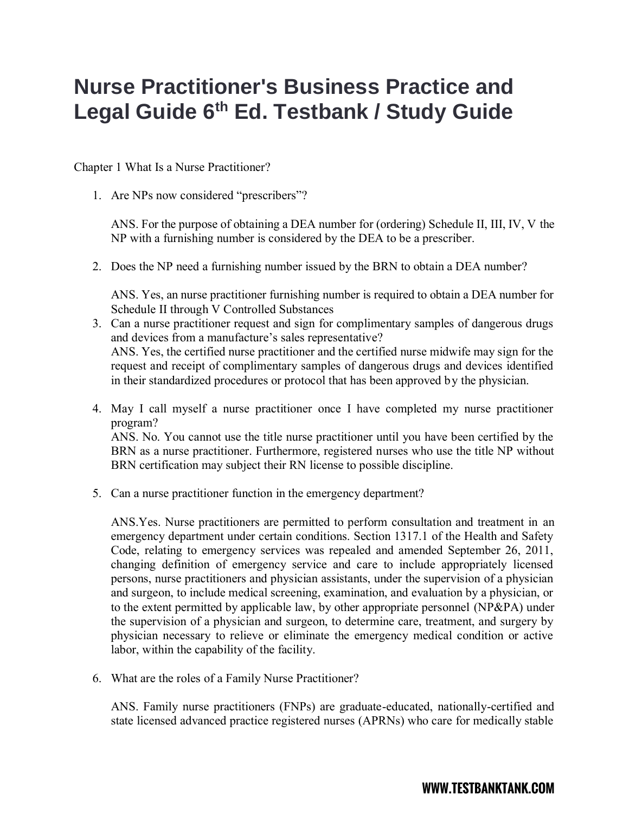## **Nurse Practitioner's Business Practice and Legal Guide 6th Ed. Testbank / Study Guide**

Chapter 1 What Is a Nurse Practitioner?

1. Are NPs now considered "prescribers"?

ANS. For the purpose of obtaining a DEA number for (ordering) Schedule II, III, IV, V the NP with a furnishing number is considered by the DEA to be a prescriber.

2. Does the NP need a furnishing number issued by the BRN to obtain a DEA number?

ANS. Yes, an nurse practitioner furnishing number is required to obtain a DEA number for Schedule II through V Controlled Substances

- 3. Can a nurse practitioner request and sign for complimentary samples of dangerous drugs and devices from a manufacture's sales representative? ANS. Yes, the certified nurse practitioner and the certified nurse midwife may sign for the request and receipt of complimentary samples of dangerous drugs and devices identified in their standardized procedures or protocol that has been approved by the physician.
- 4. May I call myself a nurse practitioner once I have completed my nurse practitioner program? ANS. No. You cannot use the title nurse practitioner until you have been certified by the BRN as a nurse practitioner. Furthermore, registered nurses who use the title NP without BRN certification may subject their RN license to possible discipline.
- 5. Can a nurse practitioner function in the emergency department?

ANS.Yes. Nurse practitioners are permitted to perform consultation and treatment in an emergency department under certain conditions. Section 1317.1 of the Health and Safety Code, relating to emergency services was repealed and amended September 26, 2011, changing definition of emergency service and care to include appropriately licensed persons, nurse practitioners and physician assistants, under the supervision of a physician and surgeon, to include medical screening, examination, and evaluation by a physician, or to the extent permitted by applicable law, by other appropriate personnel (NP&PA) under the supervision of a physician and surgeon, to determine care, treatment, and surgery by physician necessary to relieve or eliminate the emergency medical condition or active labor, within the capability of the facility.

6. What are the roles of a Family Nurse Practitioner?

ANS. Family nurse practitioners (FNPs) are graduate-educated, nationally-certified and state licensed advanced practice registered nurses (APRNs) who care for medically stable